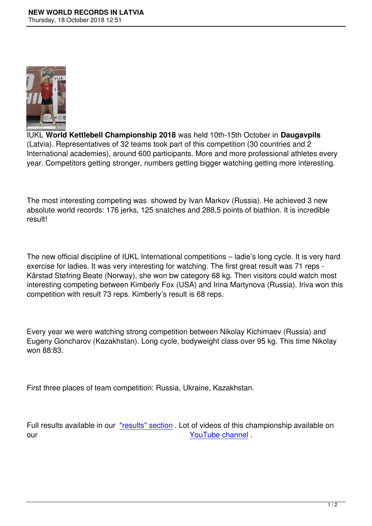

IUKL **World Kettlebell Championship 2018** was held 10th-15th October in **Daugavpils** (Latvia). Representatives of 32 teams took part of this competition (30 countries and 2 International academies), around 600 participants. More and more professional athletes every year. Competitors getting stronger, numbers getting bigger watching getting more interesting.

The most interesting competing was showed by Ivan Markov (Russia). He achieved 3 new absolute world records: 176 jerks, 125 snatches and 288,5 points of biathlon. It is incredible result!

The new official discipline of IUKL International competitions – ladie's long cycle. It is very hard exercise for ladies. It was very interesting for watching. The first great result was 71 reps - Kårstad Støfring Beate (Norway), she won bw category 68 kg. Then visitors could watch most interesting competing between Kimberly Fox (USA) and Irina Martynova (Russia). Iriva won this competition with result 73 reps. Kimberly's result is 68 reps.

Every year we were watching strong competition between Nikolay Kichimaev (Russia) and Eugeny Goncharov (Kazakhstan). Long cycle, bodyweight class over 95 kg. This time Nikolay won 88:83.

First three places of team competition: Russia, Ukraine, Kazakhstan.

Full results available in our "results" section . Lot of videos of this championship available on our **VouTube channel** .